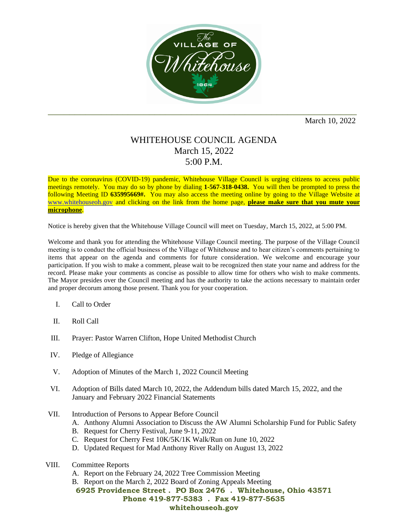

March 10, 2022

## WHITEHOUSE COUNCIL AGENDA March 15, 2022 5:00 P.M.

Due to the coronavirus (COVID-19) pandemic, Whitehouse Village Council is urging citizens to access public meetings remotely. You may do so by phone by dialing **1-567-318-0438.** You will then be prompted to press the following Meeting ID **635995669#.** You may also access the meeting online by going to the Village Website at [www.whitehouseoh.gov](http://www.whitehouseoh.gov/) and clicking on the link from the home page, **please make sure that you mute your microphone**.

Notice is hereby given that the Whitehouse Village Council will meet on Tuesday, March 15, 2022, at 5:00 PM.

Welcome and thank you for attending the Whitehouse Village Council meeting. The purpose of the Village Council meeting is to conduct the official business of the Village of Whitehouse and to hear citizen's comments pertaining to items that appear on the agenda and comments for future consideration. We welcome and encourage your participation. If you wish to make a comment, please wait to be recognized then state your name and address for the record. Please make your comments as concise as possible to allow time for others who wish to make comments. The Mayor presides over the Council meeting and has the authority to take the actions necessary to maintain order and proper decorum among those present. Thank you for your cooperation.

- I. Call to Order
- II. Roll Call
- III. Prayer: Pastor Warren Clifton, Hope United Methodist Church
- IV. Pledge of Allegiance
- V. Adoption of Minutes of the March 1, 2022 Council Meeting
- VI. Adoption of Bills dated March 10, 2022, the Addendum bills dated March 15, 2022, and the January and February 2022 Financial Statements
- VII. Introduction of Persons to Appear Before Council
	- A. Anthony Alumni Association to Discuss the AW Alumni Scholarship Fund for Public Safety
	- B. Request for Cherry Festival, June 9-11, 2022
	- C. Request for Cherry Fest 10K/5K/1K Walk/Run on June 10, 2022
	- D. Updated Request for Mad Anthony River Rally on August 13, 2022
- VIII. Committee Reports
	- A. Report on the February 24, 2022 Tree Commission Meeting
	- B. Report on the March 2, 2022 Board of Zoning Appeals Meeting

**6925 Providence Street . PO Box 2476 . Whitehouse, Ohio 43571 Phone 419-877-5383 . Fax 419-877-5635**

## **whitehouseoh.gov**